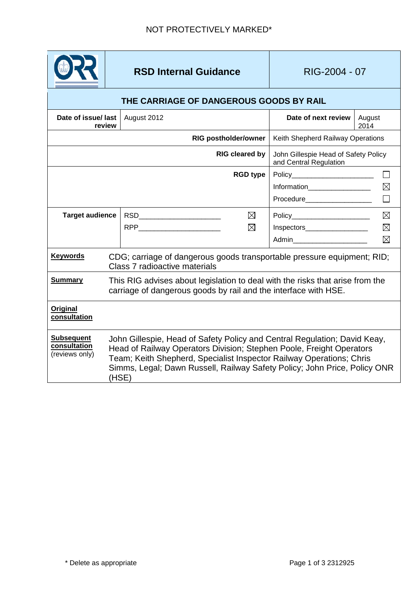

**RSD Internal Guidance RIG-2004 - 07** 

| THE CARRIAGE OF DANGEROUS GOODS BY RAIL             |                                                                                                                                                                                                                                                                                                                 |                                                                |                |  |
|-----------------------------------------------------|-----------------------------------------------------------------------------------------------------------------------------------------------------------------------------------------------------------------------------------------------------------------------------------------------------------------|----------------------------------------------------------------|----------------|--|
| Date of issue/ last<br>review                       | August 2012                                                                                                                                                                                                                                                                                                     | Date of next review                                            | August<br>2014 |  |
|                                                     | <b>RIG postholder/owner</b>                                                                                                                                                                                                                                                                                     | Keith Shepherd Railway Operations                              |                |  |
| <b>RIG cleared by</b>                               |                                                                                                                                                                                                                                                                                                                 | John Gillespie Head of Safety Policy<br>and Central Regulation |                |  |
|                                                     | <b>RGD type</b>                                                                                                                                                                                                                                                                                                 | Policy_________________________                                |                |  |
|                                                     |                                                                                                                                                                                                                                                                                                                 | Information___________________                                 | ⊠              |  |
|                                                     |                                                                                                                                                                                                                                                                                                                 | Procedure___________________                                   |                |  |
| <b>Target audience</b>                              | ⊠                                                                                                                                                                                                                                                                                                               | Policy________________________                                 | $\boxtimes$    |  |
|                                                     | ⊠                                                                                                                                                                                                                                                                                                               | Inspectors___________________                                  | $\boxtimes$    |  |
|                                                     |                                                                                                                                                                                                                                                                                                                 | Admin_________________________                                 | ⊠              |  |
| <b>Keywords</b>                                     | CDG; carriage of dangerous goods transportable pressure equipment; RID;<br>Class 7 radioactive materials                                                                                                                                                                                                        |                                                                |                |  |
| <b>Summary</b>                                      | This RIG advises about legislation to deal with the risks that arise from the<br>carriage of dangerous goods by rail and the interface with HSE.                                                                                                                                                                |                                                                |                |  |
| Original<br>consultation                            |                                                                                                                                                                                                                                                                                                                 |                                                                |                |  |
| <b>Subsequent</b><br>consultation<br>(reviews only) | John Gillespie, Head of Safety Policy and Central Regulation; David Keay,<br>Head of Railway Operators Division; Stephen Poole, Freight Operators<br>Team; Keith Shepherd, Specialist Inspector Railway Operations; Chris<br>Simms, Legal; Dawn Russell, Railway Safety Policy; John Price, Policy ONR<br>(HSE) |                                                                |                |  |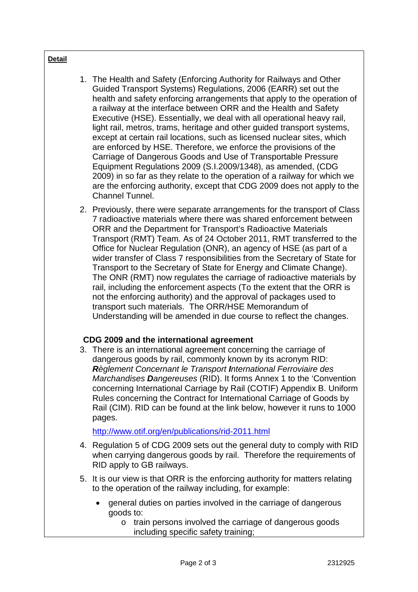## **Detail**

- 1. The Health and Safety (Enforcing Authority for Railways and Other Guided Transport Systems) Regulations, 2006 (EARR) set out the health and safety enforcing arrangements that apply to the operation of a railway at the interface between ORR and the Health and Safety Executive (HSE). Essentially, we deal with all operational heavy rail, light rail, metros, trams, heritage and other guided transport systems, except at certain rail locations, such as licensed nuclear sites, which are enforced by HSE. Therefore, we enforce the provisions of the Carriage of Dangerous Goods and Use of Transportable Pressure Equipment Regulations 2009 (S.I.2009/1348), as amended, (CDG 2009) in so far as they relate to the operation of a railway for which we are the enforcing authority, except that CDG 2009 does not apply to the Channel Tunnel.
- 2. Previously, there were separate arrangements for the transport of Class 7 radioactive materials where there was shared enforcement between ORR and the Department for Transport's Radioactive Materials Transport (RMT) Team. As of 24 October 2011, RMT transferred to the Office for Nuclear Regulation (ONR), an agency of HSE (as part of a wider transfer of Class 7 responsibilities from the Secretary of State for Transport to the Secretary of State for Energy and Climate Change). The ONR (RMT) now regulates the carriage of radioactive materials by rail, including the enforcement aspects (To the extent that the ORR is not the enforcing authority) and the approval of packages used to transport such materials. The ORR/HSE Memorandum of Understanding will be amended in due course to reflect the changes.

## **CDG 2009 and the international agreement**

3. There is an international agreement concerning the carriage of dangerous goods by rail, commonly known by its acronym RID: *Règlement Concernant le Transport International Ferroviaire des Marchandises Dangereuses* (RID). It forms Annex 1 to the 'Convention concerning International Carriage by Rail (COTIF) Appendix B. Uniform Rules concerning the Contract for International Carriage of Goods by Rail (CIM). RID can be found at the link below, however it runs to 1000 pages.

<http://www.otif.org/en/publications/rid-2011.html>

- 4. Regulation 5 of CDG 2009 sets out the general duty to comply with RID when carrying dangerous goods by rail. Therefore the requirements of RID apply to GB railways.
- 5. It is our view is that ORR is the enforcing authority for matters relating to the operation of the railway including, for example:
	- general duties on parties involved in the carriage of dangerous goods to:
		- o train persons involved the carriage of dangerous goods including specific safety training;